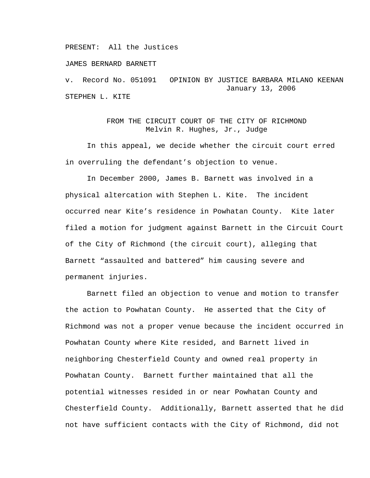PRESENT: All the Justices

JAMES BERNARD BARNETT

v. Record No. 051091 OPINION BY JUSTICE BARBARA MILANO KEENAN January 13, 2006 STEPHEN L. KITE

## FROM THE CIRCUIT COURT OF THE CITY OF RICHMOND Melvin R. Hughes, Jr., Judge

In this appeal, we decide whether the circuit court erred in overruling the defendant's objection to venue.

In December 2000, James B. Barnett was involved in a physical altercation with Stephen L. Kite. The incident occurred near Kite's residence in Powhatan County. Kite later filed a motion for judgment against Barnett in the Circuit Court of the City of Richmond (the circuit court), alleging that Barnett "assaulted and battered" him causing severe and permanent injuries.

Barnett filed an objection to venue and motion to transfer the action to Powhatan County. He asserted that the City of Richmond was not a proper venue because the incident occurred in Powhatan County where Kite resided, and Barnett lived in neighboring Chesterfield County and owned real property in Powhatan County. Barnett further maintained that all the potential witnesses resided in or near Powhatan County and Chesterfield County. Additionally, Barnett asserted that he did not have sufficient contacts with the City of Richmond, did not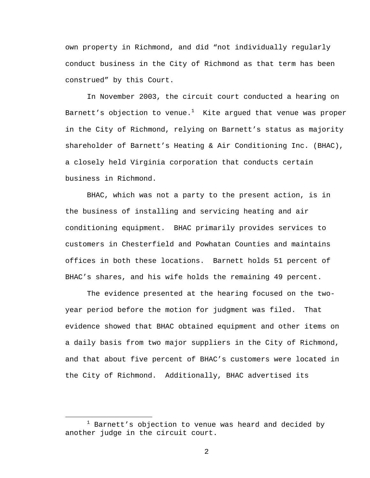own property in Richmond, and did "not individually regularly conduct business in the City of Richmond as that term has been construed" by this Court.

In November 2003, the circuit court conducted a hearing on Barnett's objection to venue. $^{\rm l}$  Kite argued that venue was proper in the City of Richmond, relying on Barnett's status as majority shareholder of Barnett's Heating & Air Conditioning Inc. (BHAC), a closely held Virginia corporation that conducts certain business in Richmond.

BHAC, which was not a party to the present action, is in the business of installing and servicing heating and air conditioning equipment. BHAC primarily provides services to customers in Chesterfield and Powhatan Counties and maintains offices in both these locations. Barnett holds 51 percent of BHAC's shares, and his wife holds the remaining 49 percent.

The evidence presented at the hearing focused on the twoyear period before the motion for judgment was filed. That evidence showed that BHAC obtained equipment and other items on a daily basis from two major suppliers in the City of Richmond, and that about five percent of BHAC's customers were located in the City of Richmond. Additionally, BHAC advertised its

<sup>&</sup>lt;u>1</u>  $1$  Barnett's objection to venue was heard and decided by another judge in the circuit court.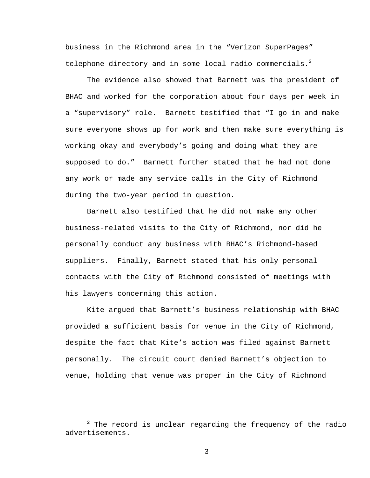business in the Richmond area in the "Verizon SuperPages" telephone directory and in some local radio commercials.<sup>2</sup>

The evidence also showed that Barnett was the president of BHAC and worked for the corporation about four days per week in a "supervisory" role. Barnett testified that "I go in and make sure everyone shows up for work and then make sure everything is working okay and everybody's going and doing what they are supposed to do." Barnett further stated that he had not done any work or made any service calls in the City of Richmond during the two-year period in question.

Barnett also testified that he did not make any other business-related visits to the City of Richmond, nor did he personally conduct any business with BHAC's Richmond-based suppliers. Finally, Barnett stated that his only personal contacts with the City of Richmond consisted of meetings with his lawyers concerning this action.

Kite argued that Barnett's business relationship with BHAC provided a sufficient basis for venue in the City of Richmond, despite the fact that Kite's action was filed against Barnett personally. The circuit court denied Barnett's objection to venue, holding that venue was proper in the City of Richmond

 $\overline{\phantom{a}}$  $2$  The record is unclear regarding the frequency of the radio advertisements.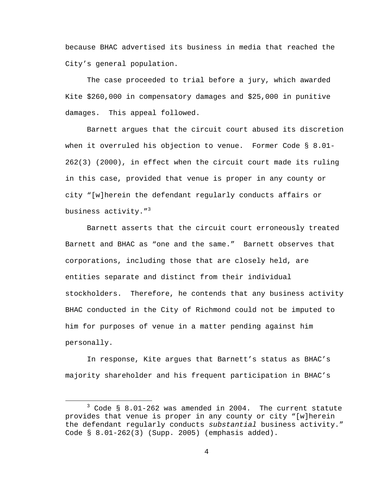because BHAC advertised its business in media that reached the City's general population.

The case proceeded to trial before a jury, which awarded Kite \$260,000 in compensatory damages and \$25,000 in punitive damages. This appeal followed.

Barnett argues that the circuit court abused its discretion when it overruled his objection to venue. Former Code § 8.01- 262(3) (2000), in effect when the circuit court made its ruling in this case, provided that venue is proper in any county or city "[w]herein the defendant regularly conducts affairs or business activity. $1^{3}$ 

Barnett asserts that the circuit court erroneously treated Barnett and BHAC as "one and the same." Barnett observes that corporations, including those that are closely held, are entities separate and distinct from their individual stockholders. Therefore, he contends that any business activity BHAC conducted in the City of Richmond could not be imputed to him for purposes of venue in a matter pending against him personally.

In response, Kite argues that Barnett's status as BHAC's majority shareholder and his frequent participation in BHAC's

 $\overline{\phantom{a}}$  3  $3$  Code § 8.01-262 was amended in 2004. The current statute provides that venue is proper in any county or city "[w]herein the defendant regularly conducts *substantial* business activity." Code § 8.01-262(3) (Supp. 2005) (emphasis added).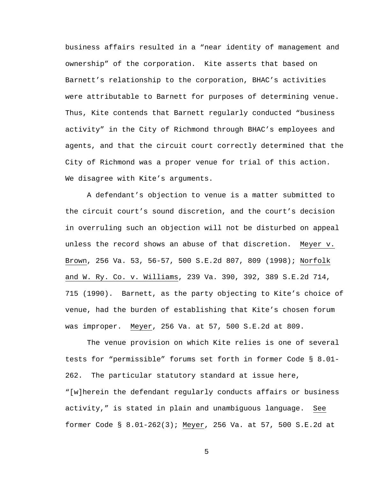business affairs resulted in a "near identity of management and ownership" of the corporation. Kite asserts that based on Barnett's relationship to the corporation, BHAC's activities were attributable to Barnett for purposes of determining venue. Thus, Kite contends that Barnett regularly conducted "business activity" in the City of Richmond through BHAC's employees and agents, and that the circuit court correctly determined that the City of Richmond was a proper venue for trial of this action. We disagree with Kite's arguments.

A defendant's objection to venue is a matter submitted to the circuit court's sound discretion, and the court's decision in overruling such an objection will not be disturbed on appeal unless the record shows an abuse of that discretion. Meyer v. Brown, 256 Va. 53, 56-57, 500 S.E.2d 807, 809 (1998); Norfolk and W. Ry. Co. v. Williams, 239 Va. 390, 392, 389 S.E.2d 714, 715 (1990). Barnett, as the party objecting to Kite's choice of venue, had the burden of establishing that Kite's chosen forum was improper. Meyer, 256 Va. at 57, 500 S.E.2d at 809.

The venue provision on which Kite relies is one of several tests for "permissible" forums set forth in former Code § 8.01- 262. The particular statutory standard at issue here, "[w]herein the defendant regularly conducts affairs or business activity," is stated in plain and unambiguous language. See former Code § 8.01-262(3); Meyer, 256 Va. at 57, 500 S.E.2d at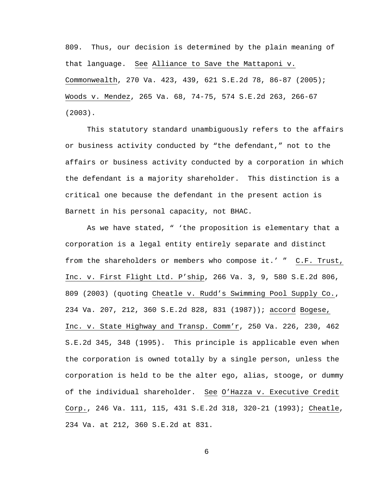809. Thus, our decision is determined by the plain meaning of that language. See Alliance to Save the Mattaponi v. Commonwealth, 270 Va. 423, 439, 621 S.E.2d 78, 86-87 (2005); Woods v. Mendez, 265 Va. 68, 74-75, 574 S.E.2d 263, 266-67 (2003).

This statutory standard unambiguously refers to the affairs or business activity conducted by "the defendant," not to the affairs or business activity conducted by a corporation in which the defendant is a majority shareholder. This distinction is a critical one because the defendant in the present action is Barnett in his personal capacity, not BHAC.

As we have stated, " 'the proposition is elementary that a corporation is a legal entity entirely separate and distinct from the shareholders or members who compose it.' "  $C.F.$  Trust, Inc. v. First Flight Ltd. P'ship, 266 Va. 3, 9, 580 S.E.2d 806, 809 (2003) (quoting Cheatle v. Rudd's Swimming Pool Supply Co., 234 Va. 207, 212, 360 S.E.2d 828, 831 (1987)); accord Bogese, Inc. v. State Highway and Transp. Comm'r, 250 Va. 226, 230, 462 S.E.2d 345, 348 (1995). This principle is applicable even when the corporation is owned totally by a single person, unless the corporation is held to be the alter ego, alias, stooge, or dummy of the individual shareholder. See O'Hazza v. Executive Credit Corp., 246 Va. 111, 115, 431 S.E.2d 318, 320-21 (1993); Cheatle, 234 Va. at 212, 360 S.E.2d at 831.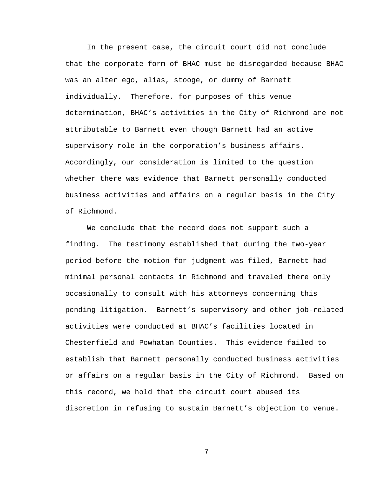In the present case, the circuit court did not conclude that the corporate form of BHAC must be disregarded because BHAC was an alter ego, alias, stooge, or dummy of Barnett individually. Therefore, for purposes of this venue determination, BHAC's activities in the City of Richmond are not attributable to Barnett even though Barnett had an active supervisory role in the corporation's business affairs. Accordingly, our consideration is limited to the question whether there was evidence that Barnett personally conducted business activities and affairs on a regular basis in the City of Richmond.

We conclude that the record does not support such a finding. The testimony established that during the two-year period before the motion for judgment was filed, Barnett had minimal personal contacts in Richmond and traveled there only occasionally to consult with his attorneys concerning this pending litigation. Barnett's supervisory and other job-related activities were conducted at BHAC's facilities located in Chesterfield and Powhatan Counties. This evidence failed to establish that Barnett personally conducted business activities or affairs on a regular basis in the City of Richmond. Based on this record, we hold that the circuit court abused its discretion in refusing to sustain Barnett's objection to venue.